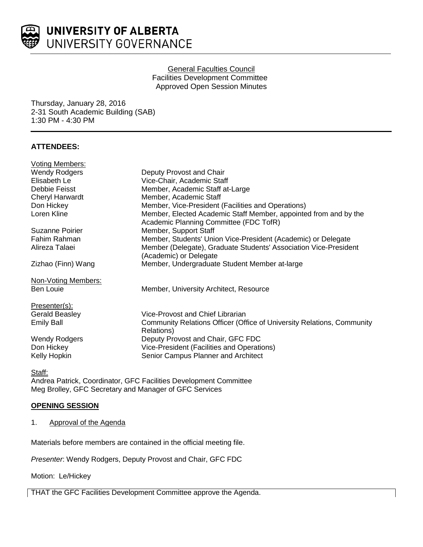

# General Faculties Council Facilities Development Committee Approved Open Session Minutes

Thursday, January 28, 2016 2-31 South Academic Building (SAB) 1:30 PM - 4:30 PM

# **ATTENDEES:**

| <b>Voting Members:</b>                                 |                                                                                                            |
|--------------------------------------------------------|------------------------------------------------------------------------------------------------------------|
| <b>Wendy Rodgers</b>                                   | Deputy Provost and Chair                                                                                   |
| Elisabeth Le                                           | Vice-Chair, Academic Staff                                                                                 |
| Debbie Feisst                                          | Member, Academic Staff at-Large                                                                            |
| <b>Cheryl Harwardt</b>                                 | Member, Academic Staff                                                                                     |
| Don Hickey                                             | Member, Vice-President (Facilities and Operations)                                                         |
| Loren Kline                                            | Member, Elected Academic Staff Member, appointed from and by the<br>Academic Planning Committee (FDC TofR) |
| Suzanne Poirier                                        | Member, Support Staff                                                                                      |
| Fahim Rahman                                           | Member, Students' Union Vice-President (Academic) or Delegate                                              |
| Alireza Talaei                                         | Member (Delegate), Graduate Students' Association Vice-President<br>(Academic) or Delegate                 |
| Zizhao (Finn) Wang                                     | Member, Undergraduate Student Member at-large                                                              |
| Non-Voting Members:                                    |                                                                                                            |
| <b>Ben Louie</b>                                       | Member, University Architect, Resource                                                                     |
| Presenter(s):                                          |                                                                                                            |
| <b>Gerald Beasley</b>                                  | Vice-Provost and Chief Librarian                                                                           |
| <b>Emily Ball</b>                                      | Community Relations Officer (Office of University Relations, Community                                     |
|                                                        | Relations)                                                                                                 |
| <b>Wendy Rodgers</b>                                   | Deputy Provost and Chair, GFC FDC                                                                          |
| Don Hickey                                             | Vice-President (Facilities and Operations)                                                                 |
| Kelly Hopkin                                           | Senior Campus Planner and Architect                                                                        |
| Staff:                                                 |                                                                                                            |
|                                                        | Andrea Patrick, Coordinator, GFC Facilities Development Committee                                          |
| Meg Brolley, GFC Secretary and Manager of GFC Services |                                                                                                            |

# **OPENING SESSION**

1. Approval of the Agenda

Materials before members are contained in the official meeting file.

*Presenter*: Wendy Rodgers, Deputy Provost and Chair, GFC FDC

Motion: Le/Hickey

THAT the GFC Facilities Development Committee approve the Agenda.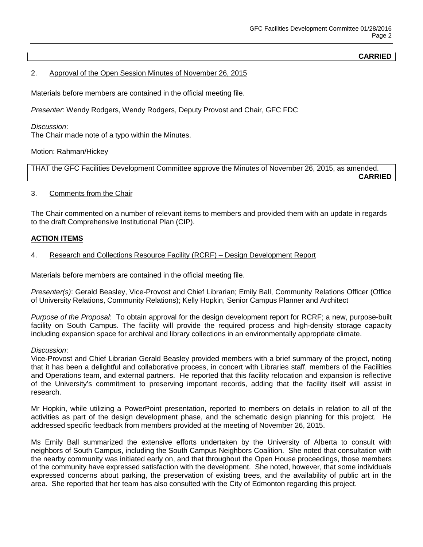# **CARRIED**

# 2. Approval of the Open Session Minutes of November 26, 2015

Materials before members are contained in the official meeting file.

*Presenter*: Wendy Rodgers, Wendy Rodgers, Deputy Provost and Chair, GFC FDC

*Discussion*: The Chair made note of a typo within the Minutes.

Motion: Rahman/Hickey

THAT the GFC Facilities Development Committee approve the Minutes of November 26, 2015, as amended. **CARRIED**

#### 3. Comments from the Chair

The Chair commented on a number of relevant items to members and provided them with an update in regards to the draft Comprehensive Institutional Plan (CIP).

## **ACTION ITEMS**

#### 4. Research and Collections Resource Facility (RCRF) – Design Development Report

Materials before members are contained in the official meeting file.

*Presenter(s)*: Gerald Beasley, Vice-Provost and Chief Librarian; Emily Ball, Community Relations Officer (Office of University Relations, Community Relations); Kelly Hopkin, Senior Campus Planner and Architect

*Purpose of the Proposal*: To obtain approval for the design development report for RCRF; a new, purpose-built facility on South Campus. The facility will provide the required process and high-density storage capacity including expansion space for archival and library collections in an environmentally appropriate climate.

#### *Discussion*:

Vice-Provost and Chief Librarian Gerald Beasley provided members with a brief summary of the project, noting that it has been a delightful and collaborative process, in concert with Libraries staff, members of the Facilities and Operations team, and external partners. He reported that this facility relocation and expansion is reflective of the University's commitment to preserving important records, adding that the facility itself will assist in research.

Mr Hopkin, while utilizing a PowerPoint presentation, reported to members on details in relation to all of the activities as part of the design development phase, and the schematic design planning for this project. He addressed specific feedback from members provided at the meeting of November 26, 2015.

Ms Emily Ball summarized the extensive efforts undertaken by the University of Alberta to consult with neighbors of South Campus, including the South Campus Neighbors Coalition. She noted that consultation with the nearby community was initiated early on, and that throughout the Open House proceedings, those members of the community have expressed satisfaction with the development. She noted, however, that some individuals expressed concerns about parking, the preservation of existing trees, and the availability of public art in the area. She reported that her team has also consulted with the City of Edmonton regarding this project.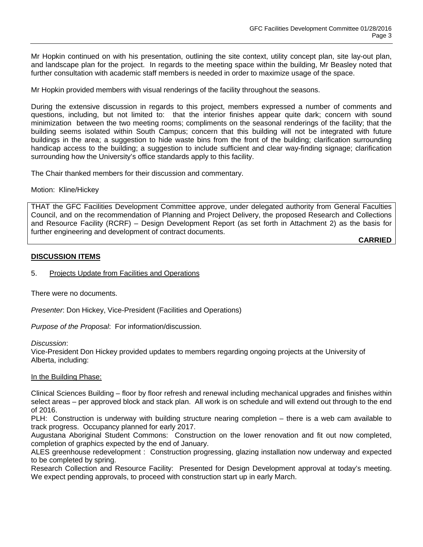Mr Hopkin continued on with his presentation, outlining the site context, utility concept plan, site lay-out plan, and landscape plan for the project. In regards to the meeting space within the building, Mr Beasley noted that further consultation with academic staff members is needed in order to maximize usage of the space.

Mr Hopkin provided members with visual renderings of the facility throughout the seasons.

During the extensive discussion in regards to this project, members expressed a number of comments and questions, including, but not limited to: that the interior finishes appear quite dark; concern with sound minimization between the two meeting rooms; compliments on the seasonal renderings of the facility; that the building seems isolated within South Campus; concern that this building will not be integrated with future buildings in the area; a suggestion to hide waste bins from the front of the building; clarification surrounding handicap access to the building; a suggestion to include sufficient and clear way-finding signage; clarification surrounding how the University's office standards apply to this facility.

The Chair thanked members for their discussion and commentary.

Motion: Kline/Hickey

THAT the GFC Facilities Development Committee approve, under delegated authority from General Faculties Council, and on the recommendation of Planning and Project Delivery, the proposed Research and Collections and Resource Facility (RCRF) – Design Development Report (as set forth in Attachment 2) as the basis for further engineering and development of contract documents.

**CARRIED**

# **DISCUSSION ITEMS**

## 5. Projects Update from Facilities and Operations

There were no documents.

*Presenter*: Don Hickey, Vice-President (Facilities and Operations)

*Purpose of the Proposal*: For information/discussion.

*Discussion*:

Vice-President Don Hickey provided updates to members regarding ongoing projects at the University of Alberta, including:

## In the Building Phase:

Clinical Sciences Building – floor by floor refresh and renewal including mechanical upgrades and finishes within select areas – per approved block and stack plan. All work is on schedule and will extend out through to the end of 2016.

PLH: Construction is underway with building structure nearing completion – there is a web cam available to track progress. Occupancy planned for early 2017.

Augustana Aboriginal Student Commons: Construction on the lower renovation and fit out now completed, completion of graphics expected by the end of January.

ALES greenhouse redevelopment : Construction progressing, glazing installation now underway and expected to be completed by spring.

Research Collection and Resource Facility: Presented for Design Development approval at today's meeting. We expect pending approvals, to proceed with construction start up in early March.